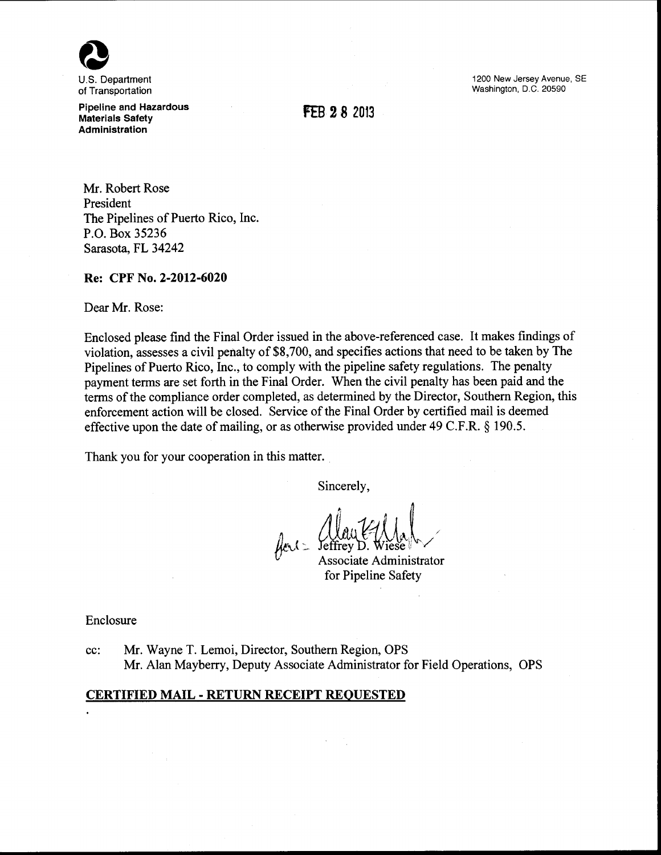

Pipeline and Hazardous Materials Safety Administration

**FEB 2 8 2013** 

Mr. Robert Rose President The Pipelines of Puerto Rico, Inc. P.O. Box 35236 Sarasota, FL 34242

### Re: CPF No. 2-2012-6020

Dear Mr. Rose:

Enclosed please find the Final Order issued in the above-referenced case. It makes findings of violation, assesses a civil penalty of \$8,700, and specifies actions that need to be taken by The Pipelines of Puerto Rico, Inc., to comply with the pipeline safety regulations. The penalty payment terms are set forth in the Final Order. When the civil penalty has been paid and the terms of the compliance order completed, as determined by the Director, Southern Region, this enforcement action will be closed. Service of the Final Order by certified mail is deemed effective upon the date of mailing, or as otherwise provided under 49 C.F.R. § 190.5.

Thank you for your cooperation in this matter.

Sincerely,

 $\mu_{\text{c}} =$  Jeffrey

Associate Administrator for Pipeline Safety

Enclosure

cc: Mr. Wayne T. Lemoi, Director, Southern Region, OPS Mr. Alan Mayberry, Deputy Associate Administrator for Field Operations, OPS

# CERTIFIED MAIL- RETURN RECEIPT REQUESTED

1200 New Jersey Avenue, SE Washington, D.C. 20590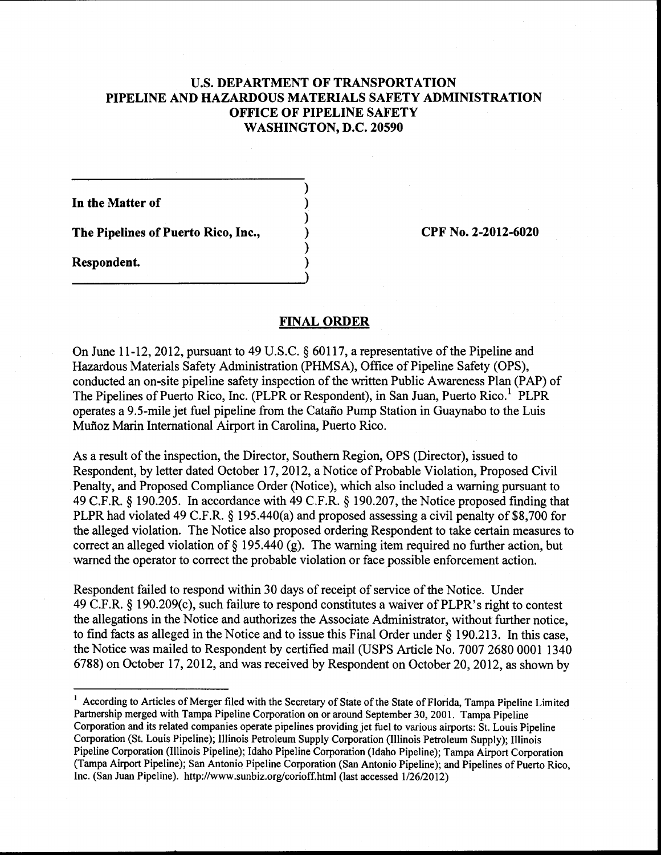# U.S. DEPARTMENT OF TRANSPORTATION PIPELINE AND HAZARDOUS MATERIALS SAFETY ADMINISTRATION OFFICE OF PIPELINE SAFETY WASHINGTON, D.C. 20590

) ) ) ) ) )

In the Matter of

The Pipelines of Puerto Rico, Inc.,

Respondent.

CPF No. 2-2012-6020

# FINAL ORDER

On June 11-12, 2012, pursuant to 49 U.S.C. § 60117, a representative of the Pipeline and Hazardous Materials Safety Administration (PHMSA), Office of Pipeline Safety (OPS), conducted an on-site pipeline safety inspection of the written Public Awareness Plan (PAP) of The Pipelines of Puerto Rico, Inc. (PLPR or Respondent), in San Juan, Puerto Rico.<sup>1</sup> PLPR operates a 9.5-mile jet fuel pipeline from the Catano Pump Station in Guaynabo to the Luis Mufioz Marin International Airport in Carolina, Puerto Rico.

As a result of the inspection, the Director, Southern Region, OPS (Director), issued to Respondent, by letter dated October 17, 2012, a Notice of Probable Violation, Proposed Civil Penalty, and Proposed Compliance Order (Notice), which also included a warning pursuant to 49 C.F.R. § 190.205. In accordance with 49 C.F.R. § 190.207, the Notice proposed finding that PLPR had violated 49 C.F.R.  $\S$  195.440(a) and proposed assessing a civil penalty of \$8,700 for the alleged violation. The Notice also proposed ordering Respondent to take certain measures to correct an alleged violation of  $\S$  195.440 (g). The warning item required no further action, but warned the operator to correct the probable violation or face possible enforcement action.

Respondent failed to respond within 30 days of receipt of service of the Notice. Under 49 C.F.R. § 190.209(c), such failure to respond constitutes a waiver of PLPR's right to contest the allegations in the Notice and authorizes the Associate Administrator, without further notice, to find facts as alleged in the Notice and to issue this Final Order under§ 190.213. In this case, the Notice was mailed to Respondent by certified mail (USPS Article No. 7007 2680 0001 1340 6788) on October 17, 2012, and was received by Respondent on October 20, 2012, as shown by

<sup>&</sup>lt;sup>1</sup> According to Articles of Merger filed with the Secretary of State of the State of Florida, Tampa Pipeline Limited Partnership merged with Tampa Pipeline Corporation on or around September 30, 2001. Tampa Pipeline Corporation and its related companies operate pipelines providing jet fuel to various airports: St. Louis Pipeline Corporation (St. Louis Pipeline); Illinois Petroleum Supply Corporation (Illinois Petroleum Supply); Illinois Pipeline Corporation (Illinois Pipeline); Idaho Pipeline Corporation {Idaho Pipeline); Tampa Airport Corporation {Tampa Airport Pipeline); San Antonio Pipeline Corporation (San Antonio Pipeline); and Pipelines of Puerto Rico, Inc. (San Juan Pipeline). http://www.sunbiz.org/corioff.html (last accessed 1/26/2012)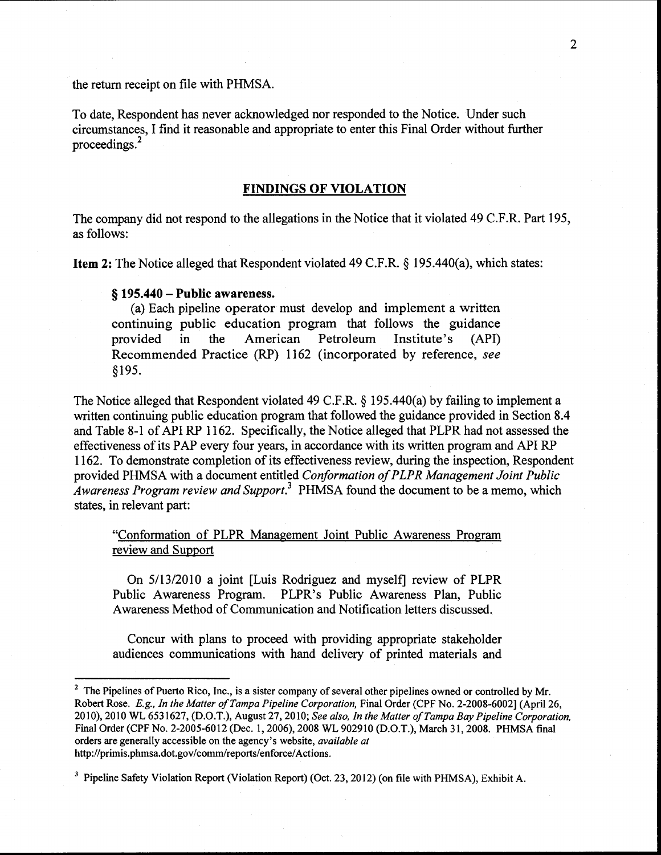the return receipt on file with PHMSA.

To date, Respondent has never acknowledged nor responded to the Notice. Under such circumstances, I find it reasonable and appropriate to enter this Final Order without further proceedings. 2

### **FINDINGS OF VIOLATION**

The company did not respond to the allegations in the Notice that it violated 49 C.F.R. Part 195, as follows:

**Item 2:** The Notice alleged that Respondent violated 49 C.F.R. § 195.440(a), which states:

#### § **195.440- Public awareness.**

(a) Each pipeline operator must develop and implement a written continuing public education program that follows the guidance provided in the American Petroleum Institute's (API) Recommended Practice (RP) 1162 (incorporated by reference, *see*  §195.

The Notice alleged that Respondent violated 49 C.F.R. § 195.440(a) by failing to implement a written continuing public education program that followed the guidance provided in Section 8.4 and Table 8-1 of API RP 1162. Specifically, the Notice alleged that PLPR had not assessed the effectiveness of its PAP every four years, in accordance with its written program and API RP 1162. To demonstrate completion of its effectiveness review, during the inspection, Respondent provided PHMSA with a document entitled *Conformation of P LP R Management Joint Public Awareness Program review and Support.3* PHMSA found the document to be a memo, which states, in relevant part:

"Conformation of PLPR Management Joint Public Awareness Program review and Support

On 5/13/2010 a joint [Luis Rodriguez and myself] review of PLPR Public Awareness Program. PLPR's Public Awareness Plan, Public Awareness Method of Communication and Notification letters discussed.

Concur with plans to proceed with providing appropriate stakeholder audiences communications with hand delivery of printed materials and

<sup>&</sup>lt;sup>2</sup> The Pipelines of Puerto Rico, Inc., is a sister company of several other pipelines owned or controlled by Mr. Robert Rose. *E.g., In the Matter of Tampa Pipeline Corporation,* Final Order (CPF No. 2-2008-6002] (April26, 2010), 2010 WL 6531627, (D.O.T.), August 27, 2010; *See also, In the Matter ofTampa Bay Pipeline Corporation,*  Final Order (CPF No. 2-2005-6012 (Dec. 1, 2006), 2008 WL 902910 (D.O.T.), March 31, 2008. PHMSA final orders are generally accessible on the agency's website, *available at*  http://primis.phmsa.dot.gov/comm/reports/enforce/Actions.

<sup>3</sup> Pipeline Safety Violation Report (Violation Report) (Oct. 23, 2012) (on file with PHMSA), Exhibit A.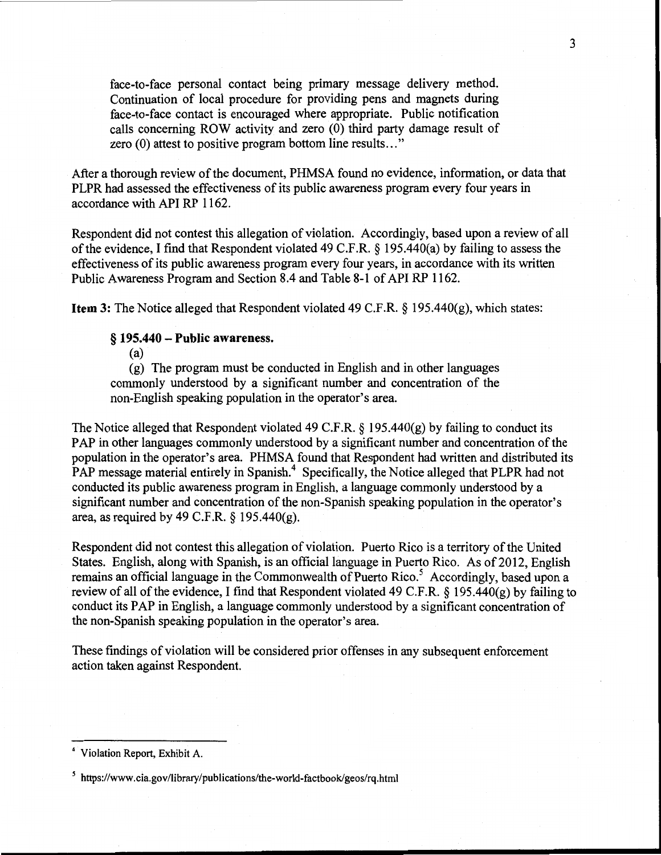face-to-face personal contact being primary message delivery method. Continuation of local procedure for providing pens and magnets during face-to-face contact is encouraged where appropriate. Public notification calls concerning ROW activity and zero (0) third party damage result of zero (0) attest to positive program bottom line results ... "

After a thorough review of the document, PHMSA found no evidence, information, or data that PLPR had assessed the effectiveness of its public awareness program every four years in accordance with API RP 1162.

Respondent did not contest this allegation of violation. Accordingly, based upon a review of all of the evidence, I find that Respondent violated 49 C.F.R. § 195.440(a) by failing to assess the effectiveness of its public awareness program every four years, in accordance with its written Public Awareness Program and Section 8.4 and Table 8-1 of API RP 1162.

**Item 3:** The Notice alleged that Respondent violated 49 C.F.R. § 195.440(g), which states:

# § 195.440 - Public awareness.

(a)

(g) The program must be conducted in English and in other languages commonly understood by a significant number and concentration of the non-English speaking population in the operator's area.

The Notice alleged that Respondent violated 49 C.F.R.  $\S$  195.440(g) by failing to conduct its PAP in other languages commonly understood by a significant number and concentration of the population in the operator's area. PHMSA found that Respondent had written and distributed its PAP message material entirely in Spanish.<sup>4</sup> Specifically, the Notice alleged that PLPR had not conducted its public awareness program in English, a language commonly understood by a significant number and concentration of the non-Spanish speaking population in the operator's area, as required by 49 C.F.R. § 195.440(g).

Respondent did not contest this allegation of violation. Puerto Rico is a territory of the United States. English, along with Spanish, is an official language in Puerto Rico. As of 2012, English remains an official language in the Commonwealth of Puerto Rico.<sup>5</sup> Accordingly, based upon a review of all of the evidence, I find that Respondent violated 49 C.F .R. § 195 .440(g) by failing to conduct its PAP in English, a language commonly understood by a significant concentration of the non-Spanish speaking population in the operator's area.

These findings of violation will be considered prior offenses in any subsequent enforcement action taken against Respondent.

<sup>4</sup> Violation Report, Exhibit A.

*<sup>5</sup>*https://www.cia.gov/library/publications/the-world-factbook/geos/rq.html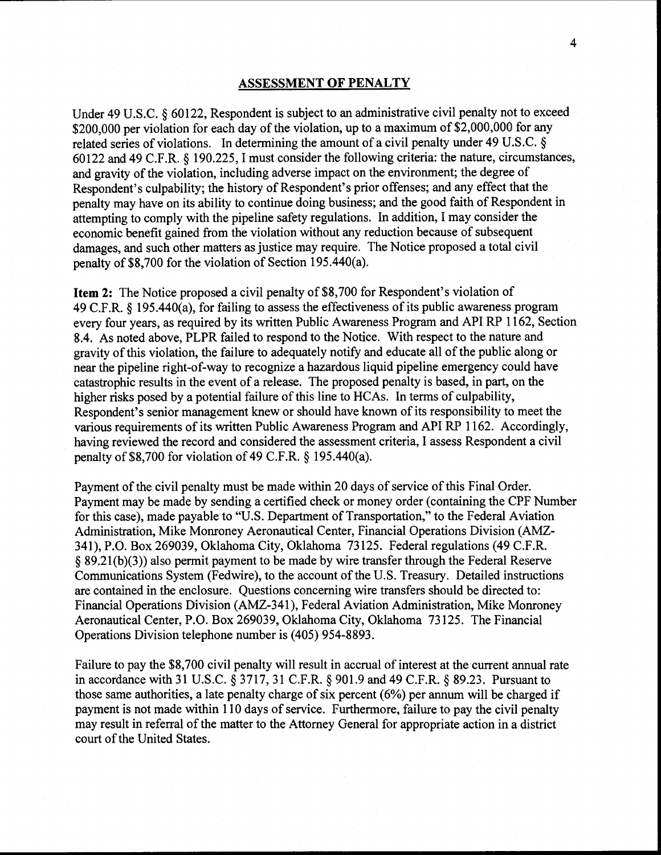## ASSESSMENT OF PENALTY

Under 49 U.S.C. § 60122, Respondent is subject to an administrative civil penalty not to exceed \$200,000 per violation for each day of the violation, up to a maximum of \$2,000,000 for any related series of violations. In determining the amount of a civil penalty under 49 U.S.C. § 60122 and 49 C.F.R. § 190.225, I must consider the following criteria: the nature, circumstances, and gravity of the violation, including adverse impact on the environment; the degree of Respondent's culpability; the history of Respondent's prior offenses; and any effect that the penalty may have on its ability to continue doing business; and the good faith of Respondent in attempting to comply with the pipeline safety regulations. In addition, I may consider the economic benefit gained from the violation without any reduction because of subsequent damages, and such other matters as justice may require. The Notice proposed a total civil penalty of\$8,700 for the violation of Section 195.440(a).

Item 2: The Notice proposed a civil penalty of \$8,700 for Respondent's violation of 49 C.F.R. § 195.440(a), for failing to assess the effectiveness of its public awareness program every four years, as required by its written Public Awareness Program and API RP 1162, Section 8.4. As noted above, PLPR failed to respond to the Notice. With respect to the nature and gravity of this violation, the failure to adequately notify and educate all of the public along or near the pipeline right-of-way to recognize a hazardous liquid pipeline emergency could have catastrophic results in the event of a release. The proposed penalty is based, in part, on the higher risks posed by a potential failure of this line to HCAs. In terms of culpability, Respondent's senior management knew or should have known of its responsibility to meet the various requirements of its written Public Awareness Program and API RP 1162. Accordingly, having reviewed the record and considered the assessment criteria, I assess Respondent a civil penalty of\$8,700 for violation of 49 C.F.R. § 195.440(a).

Payment of the civil penalty must be made within 20 days of service of this Final Order. Payment may be made by sending a certified check or money order (containing the CPF Number for this case), made payable to "U.S. Department of Transportation," to the Federal Aviation Administration, Mike Monroney Aeronautical Center, Financial Operations Division (AMZ-341), P.O. Box 269039, Oklahoma City, Oklahoma 73125. Federal regulations (49 C.F.R. § 89.21(b)(3)) also permit payment to be made by wire transfer through the Federal Reserve Communications System (Fedwire), to the account of the U.S. Treasury. Detailed instructions are contained in the enclosure. Questions concerning wire transfers should be directed to: Financial Operations Division (AMZ-341), Federal Aviation Administration, Mike Monroney Aeronautical Center, P.O. Box 269039, Oklahoma City, Oklahoma 73125. The Financial Operations Division telephone number is (405) 954-8893.

Failure to pay the \$8,700 civil penalty will result in accrual of interest at the current annual rate in accordance with 31 U.S.C. § 3717, 31 C.F.R. § 901.9 and 49 C.F.R. § 89.23. Pursuant to those same authorities, a late penalty charge of six percent (6%) per annum will be charged if payment is not made within 110 days of service. Furthermore, failure to pay the civil penalty may result in referral of the matter to the Attorney General for appropriate action in a district court of the United States.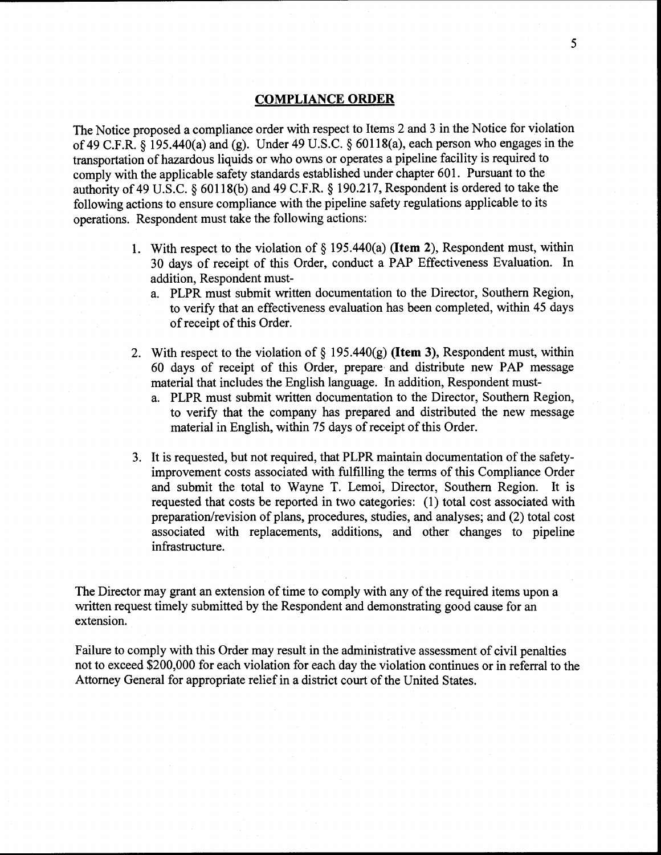### **COMPLIANCE ORDER**

The Notice proposed a compliance order with respect to Items 2 and 3 in the Notice for violation of 49 C.F.R.  $\hat{\delta}$  195.440(a) and (g). Under 49 U.S.C.  $\hat{\delta}$  60118(a), each person who engages in the transportation of hazardous liquids or who owns or operates a pipeline facility is required to comply with the applicable safety standards established under chapter 601. Pursuant to the authority of 49 U.S.C. § 60118(b) and 49 C.F.R. § 190.217, Respondent is ordered to take the following actions to ensure compliance with the pipeline safety regulations applicable to its operations. Respondent must take the following actions:

- 1. With respect to the violation of§ 195.440(a) **(Item 2),** Respondent must, within 30 days of receipt of this Order, conduct a PAP Effectiveness Evaluation. In addition, Respondent must
	- a. PLPR must submit written documentation to the Director, Southern Region, to verify that an effectiveness evaluation has been completed, within 45 days of receipt of this Order.
- 2. With respect to the violation of§ 195.440(g) **(Item 3),** Respondent must, within 60 days of receipt of this Order, prepare and distribute new PAP message material that includes the English language. In addition, Respondent must
	- a. PLPR must submit written documentation to the Director, Southern Region, to verify that the company has prepared and distributed the new message material in English, within 75 days of receipt of this Order.
- 3. It is requested, but not required, that PLPR maintain documentation of the safetyimprovement costs associated with fulfilling the terms of this Compliance Order and submit the total to Wayne T. Lemoi, Director, Southern Region. It is requested that costs be reported in two categories: (1) total cost associated with preparation/revision of plans, procedures, studies, and analyses; and (2) total cost associated with replacements, additions, and other changes to pipeline infrastructure.

The Director may grant an extension of time to comply with any of the required items upon a written request timely submitted by the Respondent and demonstrating good cause for an extension.

Failure to comply with this Order may result in the administrative assessment of civil penalties not to exceed \$200,000 for each violation for each day the violation continues or in referral to the Attorney General for appropriate relief in a district court of the United States.